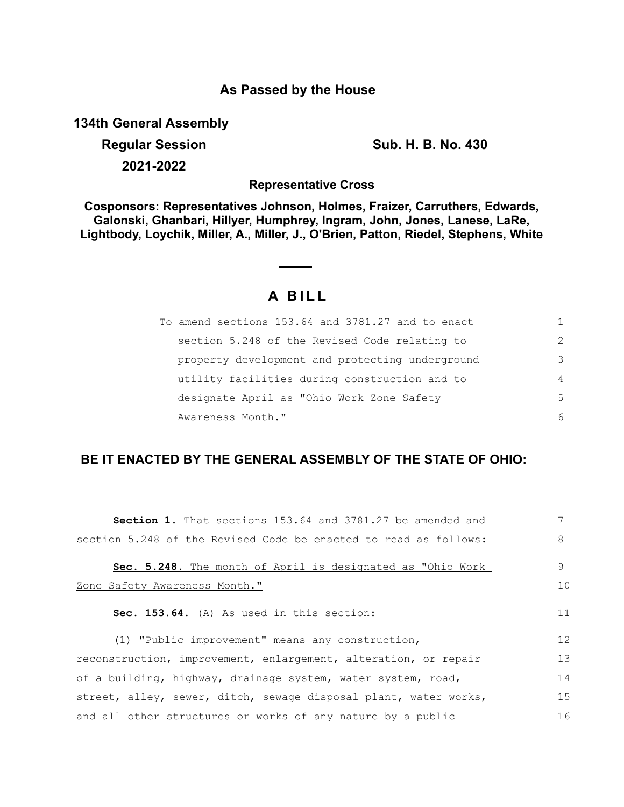### **As Passed by the House**

**134th General Assembly**

**Regular Session Sub. H. B. No. 430 2021-2022**

**Representative Cross**

**Cosponsors: Representatives Johnson, Holmes, Fraizer, Carruthers, Edwards, Galonski, Ghanbari, Hillyer, Humphrey, Ingram, John, Jones, Lanese, LaRe, Lightbody, Loychik, Miller, A., Miller, J., O'Brien, Patton, Riedel, Stephens, White**

# **A B I L L**

| To amend sections 153.64 and 3781.27 and to enact |                |
|---------------------------------------------------|----------------|
| section 5.248 of the Revised Code relating to     | $\mathcal{L}$  |
| property development and protecting underground   | 3              |
| utility facilities during construction and to     | $\overline{4}$ |
| designate April as "Ohio Work Zone Safety         | .5             |
| Awareness Month."                                 | 6              |

## **BE IT ENACTED BY THE GENERAL ASSEMBLY OF THE STATE OF OHIO:**

| <b>Section 1.</b> That sections 153.64 and 3781.27 be amended and | 7  |
|-------------------------------------------------------------------|----|
| section 5.248 of the Revised Code be enacted to read as follows:  | 8  |
| Sec. 5.248. The month of April is designated as "Ohio Work        | 9  |
| Zone Safety Awareness Month."                                     | 10 |
| Sec. 153.64. (A) As used in this section:                         | 11 |
| (1) "Public improvement" means any construction,                  | 12 |
| reconstruction, improvement, enlargement, alteration, or repair   | 13 |
| of a building, highway, drainage system, water system, road,      | 14 |
| street, alley, sewer, ditch, sewage disposal plant, water works,  | 15 |
| and all other structures or works of any nature by a public       | 16 |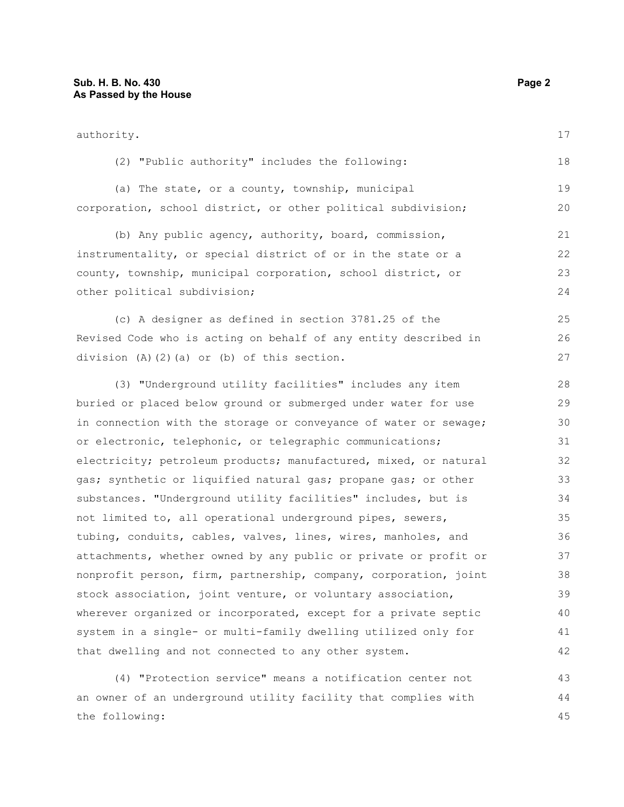| authority.                                                       |    |
|------------------------------------------------------------------|----|
| (2) "Public authority" includes the following:                   | 18 |
| (a) The state, or a county, township, municipal                  | 19 |
| corporation, school district, or other political subdivision;    | 20 |
| (b) Any public agency, authority, board, commission,             | 21 |
| instrumentality, or special district of or in the state or a     |    |
| county, township, municipal corporation, school district, or     | 23 |
| other political subdivision;                                     | 24 |
| (c) A designer as defined in section 3781.25 of the              | 25 |
| Revised Code who is acting on behalf of any entity described in  | 26 |
| division $(A)$ $(2)$ $(a)$ or $(b)$ of this section.             | 27 |
| (3) "Underground utility facilities" includes any item           | 28 |
| buried or placed below ground or submerged under water for use   | 29 |
| in connection with the storage or conveyance of water or sewage; | 30 |
| or electronic, telephonic, or telegraphic communications;        | 31 |
| electricity; petroleum products; manufactured, mixed, or natural | 32 |
| gas; synthetic or liquified natural gas; propane gas; or other   | 33 |
| substances. "Underground utility facilities" includes, but is    | 34 |
| not limited to, all operational underground pipes, sewers,       | 35 |
| tubing, conduits, cables, valves, lines, wires, manholes, and    | 36 |
| attachments, whether owned by any public or private or profit or | 37 |
| nonprofit person, firm, partnership, company, corporation, joint | 38 |
| stock association, joint venture, or voluntary association,      | 39 |
| wherever organized or incorporated, except for a private septic  | 40 |
| system in a single- or multi-family dwelling utilized only for   | 41 |
| that dwelling and not connected to any other system.             | 42 |
| (4) "Protection service" means a notification center not         | 43 |

an owner of an underground utility facility that complies with the following: 44 45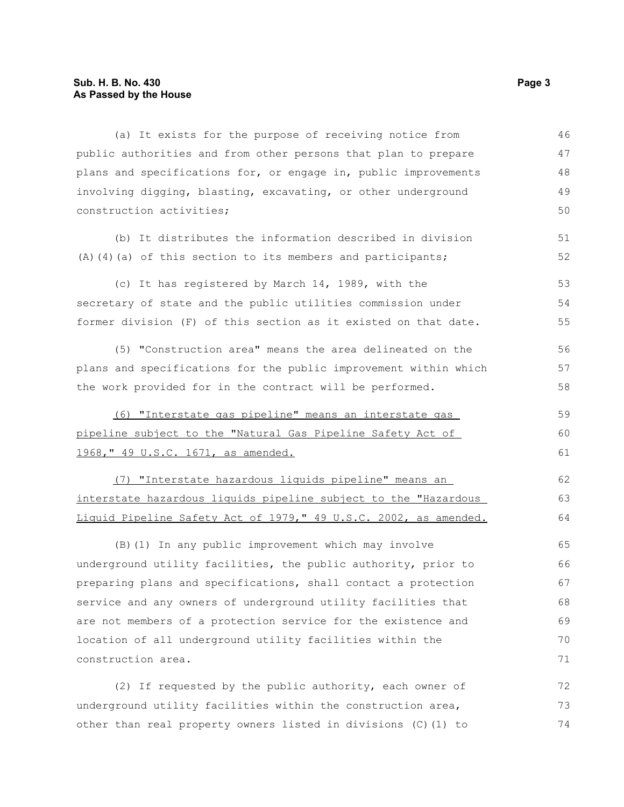#### **Sub. H. B. No. 430 Page 3 As Passed by the House**

(a) It exists for the purpose of receiving notice from public authorities and from other persons that plan to prepare plans and specifications for, or engage in, public improvements involving digging, blasting, excavating, or other underground construction activities; 46 47 48 49 50

(b) It distributes the information described in division (A)(4)(a) of this section to its members and participants;

(c) It has registered by March 14, 1989, with the secretary of state and the public utilities commission under former division (F) of this section as it existed on that date. 53 54 55

(5) "Construction area" means the area delineated on the plans and specifications for the public improvement within which the work provided for in the contract will be performed.

(6) "Interstate gas pipeline" means an interstate gas pipeline subject to the "Natural Gas Pipeline Safety Act of 1968," 49 U.S.C. 1671, as amended. 59 60 61

(7) "Interstate hazardous liquids pipeline" means an interstate hazardous liquids pipeline subject to the "Hazardous Liquid Pipeline Safety Act of 1979," 49 U.S.C. 2002, as amended.

(B)(1) In any public improvement which may involve underground utility facilities, the public authority, prior to preparing plans and specifications, shall contact a protection service and any owners of underground utility facilities that are not members of a protection service for the existence and location of all underground utility facilities within the construction area. 65 66 67 68 69 70 71

(2) If requested by the public authority, each owner of underground utility facilities within the construction area, other than real property owners listed in divisions (C)(1) to 72 73 74

51 52

56 57 58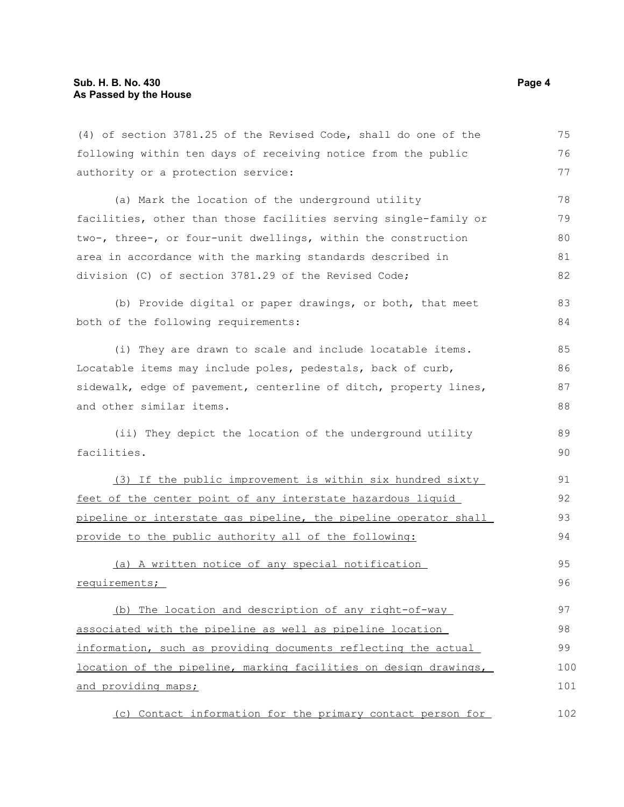| (4) of section 3781.25 of the Revised Code, shall do one of the  | 75  |
|------------------------------------------------------------------|-----|
| following within ten days of receiving notice from the public    | 76  |
| authority or a protection service:                               | 77  |
| (a) Mark the location of the underground utility                 | 78  |
| facilities, other than those facilities serving single-family or | 79  |
| two-, three-, or four-unit dwellings, within the construction    | 80  |
| area in accordance with the marking standards described in       | 81  |
| division (C) of section 3781.29 of the Revised Code;             | 82  |
| (b) Provide digital or paper drawings, or both, that meet        | 83  |
| both of the following requirements:                              | 84  |
| (i) They are drawn to scale and include locatable items.         | 85  |
| Locatable items may include poles, pedestals, back of curb,      | 86  |
| sidewalk, edge of pavement, centerline of ditch, property lines, | 87  |
| and other similar items.                                         | 88  |
| (ii) They depict the location of the underground utility         | 89  |
| facilities.                                                      | 90  |
| (3) If the public improvement is within six hundred sixty        | 91  |
| feet of the center point of any interstate hazardous liquid      | 92  |
| pipeline or interstate gas pipeline, the pipeline operator shall | 93  |
| provide to the public authority all of the following:            | 94  |
| (a) A written notice of any special notification                 | 95  |
| requirements;                                                    | 96  |
| (b) The location and description of any right-of-way             | 97  |
| associated with the pipeline as well as pipeline location        | 98  |
| information, such as providing documents reflecting the actual   | 99  |
| location of the pipeline, marking facilities on design drawings, | 100 |
| and providing maps;                                              | 101 |
| (c) Contact information for the primary contact person for       | 102 |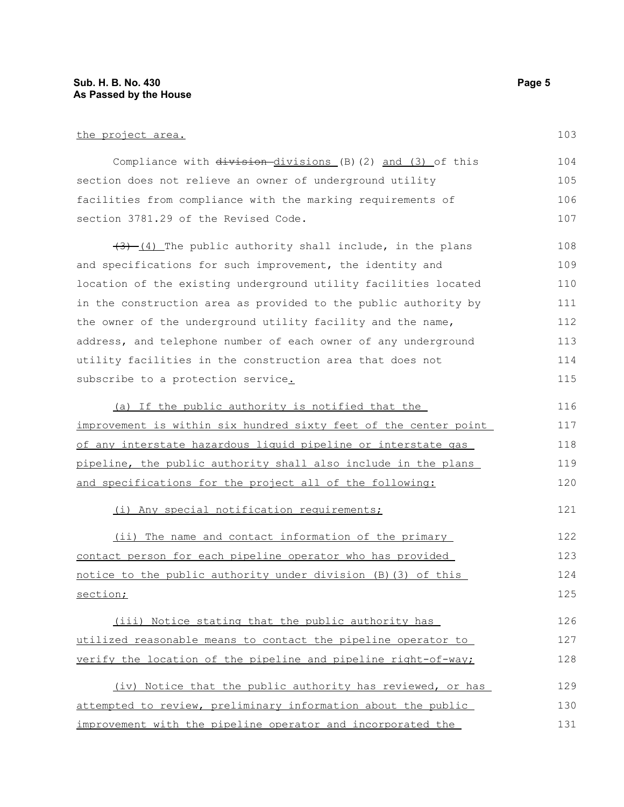#### **Sub. H. B. No. 430 Page 5 As Passed by the House**

the project area.

Compliance with division-divisions (B)(2) and (3) of this section does not relieve an owner of underground utility facilities from compliance with the marking requirements of section 3781.29 of the Revised Code. 104 105 106 107

 $(3)$   $(4)$  The public authority shall include, in the plans and specifications for such improvement, the identity and location of the existing underground utility facilities located in the construction area as provided to the public authority by the owner of the underground utility facility and the name, address, and telephone number of each owner of any underground utility facilities in the construction area that does not subscribe to a protection service. 108 109 110 111 112 113 114 115

(a) If the public authority is notified that the improvement is within six hundred sixty feet of the center point of any interstate hazardous liquid pipeline or interstate gas pipeline, the public authority shall also include in the plans and specifications for the project all of the following: 116 117 118 119 120

(i) Any special notification requirements;

(ii) The name and contact information of the primary contact person for each pipeline operator who has provided notice to the public authority under division (B)(3) of this section; 122 123 124 125

(iii) Notice stating that the public authority has utilized reasonable means to contact the pipeline operator to verify the location of the pipeline and pipeline right-of-way; 126 127 128

(iv) Notice that the public authority has reviewed, or has attempted to review, preliminary information about the public improvement with the pipeline operator and incorporated the 129 130 131

103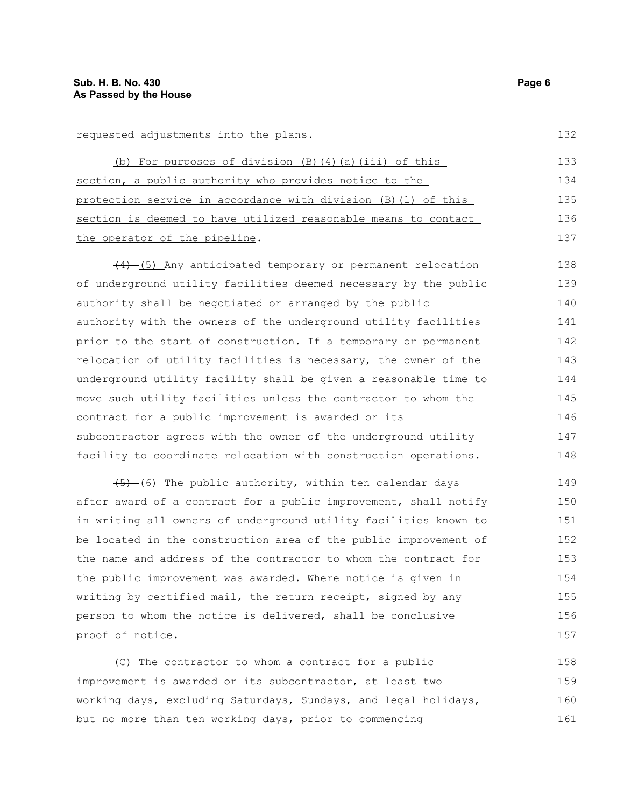#### requested adjustments into the plans.

(b) For purposes of division (B)(4)(a)(iii) of this section, a public authority who provides notice to the protection service in accordance with division (B)(1) of this section is deemed to have utilized reasonable means to contact the operator of the pipeline. 133 134 135 136 137

(4) (5) Any anticipated temporary or permanent relocation of underground utility facilities deemed necessary by the public authority shall be negotiated or arranged by the public authority with the owners of the underground utility facilities prior to the start of construction. If a temporary or permanent relocation of utility facilities is necessary, the owner of the underground utility facility shall be given a reasonable time to move such utility facilities unless the contractor to whom the contract for a public improvement is awarded or its subcontractor agrees with the owner of the underground utility facility to coordinate relocation with construction operations. 138 139 140 141 142 143 144 145 146 147 148

(5) (6) The public authority, within ten calendar days after award of a contract for a public improvement, shall notify in writing all owners of underground utility facilities known to be located in the construction area of the public improvement of the name and address of the contractor to whom the contract for the public improvement was awarded. Where notice is given in writing by certified mail, the return receipt, signed by any person to whom the notice is delivered, shall be conclusive proof of notice. 149 150 151 152 153 154 155 156 157

(C) The contractor to whom a contract for a public improvement is awarded or its subcontractor, at least two working days, excluding Saturdays, Sundays, and legal holidays, but no more than ten working days, prior to commencing 158 159 160 161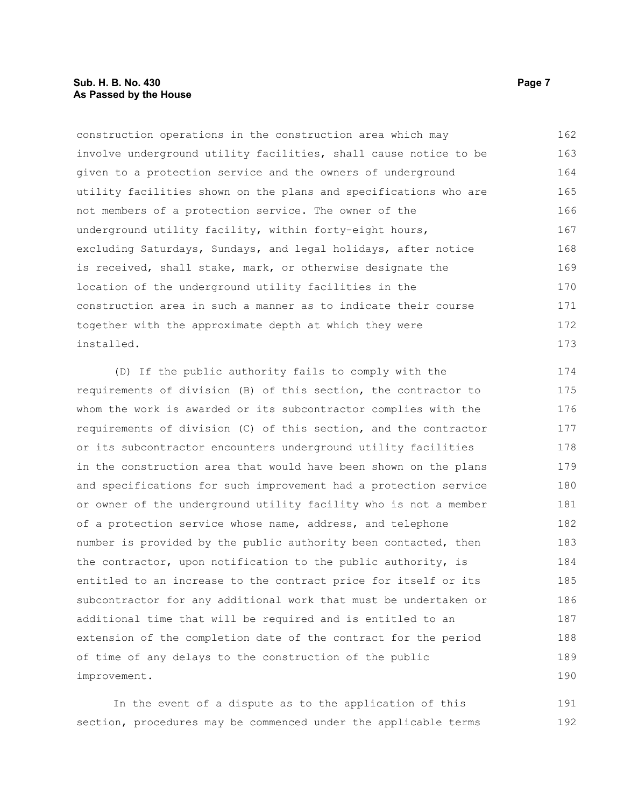#### **Sub. H. B. No. 430 Page 7 Page 7 As Passed by the House**

construction operations in the construction area which may involve underground utility facilities, shall cause notice to be given to a protection service and the owners of underground utility facilities shown on the plans and specifications who are not members of a protection service. The owner of the underground utility facility, within forty-eight hours, excluding Saturdays, Sundays, and legal holidays, after notice is received, shall stake, mark, or otherwise designate the location of the underground utility facilities in the construction area in such a manner as to indicate their course together with the approximate depth at which they were installed. 162 163 164 165 166 167 168 169 170 171 172 173

(D) If the public authority fails to comply with the requirements of division (B) of this section, the contractor to whom the work is awarded or its subcontractor complies with the requirements of division (C) of this section, and the contractor or its subcontractor encounters underground utility facilities in the construction area that would have been shown on the plans and specifications for such improvement had a protection service or owner of the underground utility facility who is not a member of a protection service whose name, address, and telephone number is provided by the public authority been contacted, then the contractor, upon notification to the public authority, is entitled to an increase to the contract price for itself or its subcontractor for any additional work that must be undertaken or additional time that will be required and is entitled to an extension of the completion date of the contract for the period of time of any delays to the construction of the public improvement. 174 175 176 177 178 179 180 181 182 183 184 185 186 187 188 189 190

In the event of a dispute as to the application of this section, procedures may be commenced under the applicable terms 191 192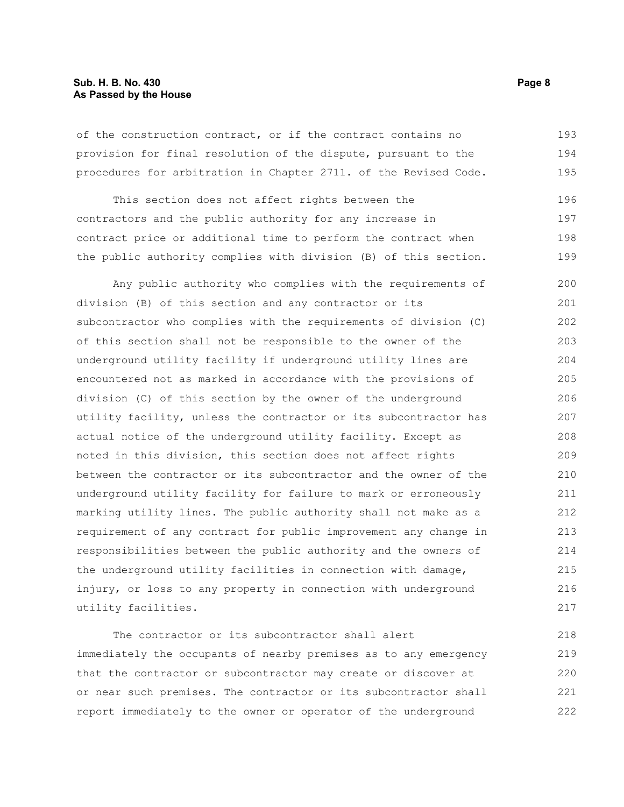#### **Sub. H. B. No. 430 Page 8 As Passed by the House**

of the construction contract, or if the contract contains no provision for final resolution of the dispute, pursuant to the procedures for arbitration in Chapter 2711. of the Revised Code. 193 194 195

This section does not affect rights between the contractors and the public authority for any increase in contract price or additional time to perform the contract when the public authority complies with division (B) of this section. 196 197 198 199

Any public authority who complies with the requirements of division (B) of this section and any contractor or its subcontractor who complies with the requirements of division (C) of this section shall not be responsible to the owner of the underground utility facility if underground utility lines are encountered not as marked in accordance with the provisions of division (C) of this section by the owner of the underground utility facility, unless the contractor or its subcontractor has actual notice of the underground utility facility. Except as noted in this division, this section does not affect rights between the contractor or its subcontractor and the owner of the underground utility facility for failure to mark or erroneously marking utility lines. The public authority shall not make as a requirement of any contract for public improvement any change in responsibilities between the public authority and the owners of the underground utility facilities in connection with damage, injury, or loss to any property in connection with underground utility facilities. 200 201 202 203 204 205 206 207 208 209 210 211 212 213 214 215 216 217

The contractor or its subcontractor shall alert immediately the occupants of nearby premises as to any emergency that the contractor or subcontractor may create or discover at or near such premises. The contractor or its subcontractor shall report immediately to the owner or operator of the underground 218 219 220 221 222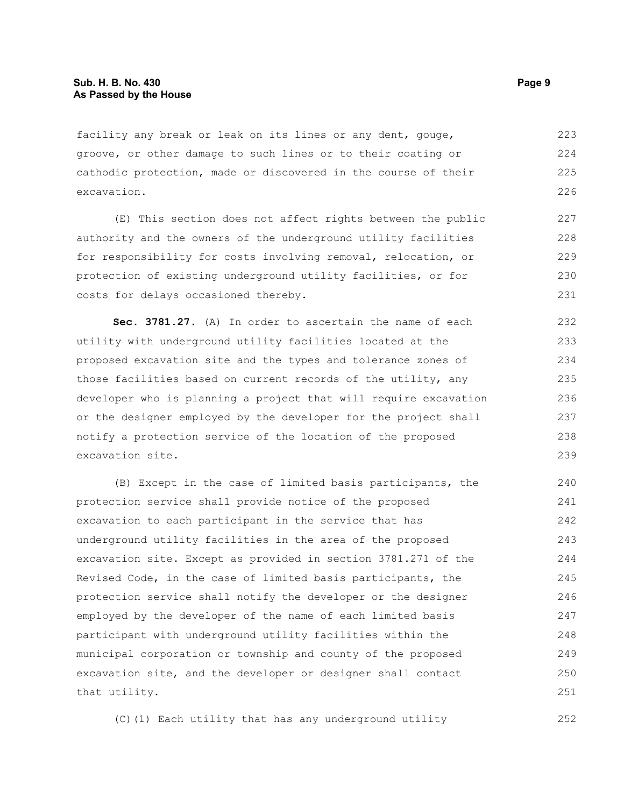facility any break or leak on its lines or any dent, gouge, groove, or other damage to such lines or to their coating or cathodic protection, made or discovered in the course of their excavation. 223 224 225 226

(E) This section does not affect rights between the public authority and the owners of the underground utility facilities for responsibility for costs involving removal, relocation, or protection of existing underground utility facilities, or for costs for delays occasioned thereby.

**Sec. 3781.27.** (A) In order to ascertain the name of each utility with underground utility facilities located at the proposed excavation site and the types and tolerance zones of those facilities based on current records of the utility, any developer who is planning a project that will require excavation or the designer employed by the developer for the project shall notify a protection service of the location of the proposed excavation site.

(B) Except in the case of limited basis participants, the protection service shall provide notice of the proposed excavation to each participant in the service that has underground utility facilities in the area of the proposed excavation site. Except as provided in section 3781.271 of the Revised Code, in the case of limited basis participants, the protection service shall notify the developer or the designer employed by the developer of the name of each limited basis participant with underground utility facilities within the municipal corporation or township and county of the proposed excavation site, and the developer or designer shall contact that utility. 240 241 242 243 244 245 246 247 248 249 250 251

(C)(1) Each utility that has any underground utility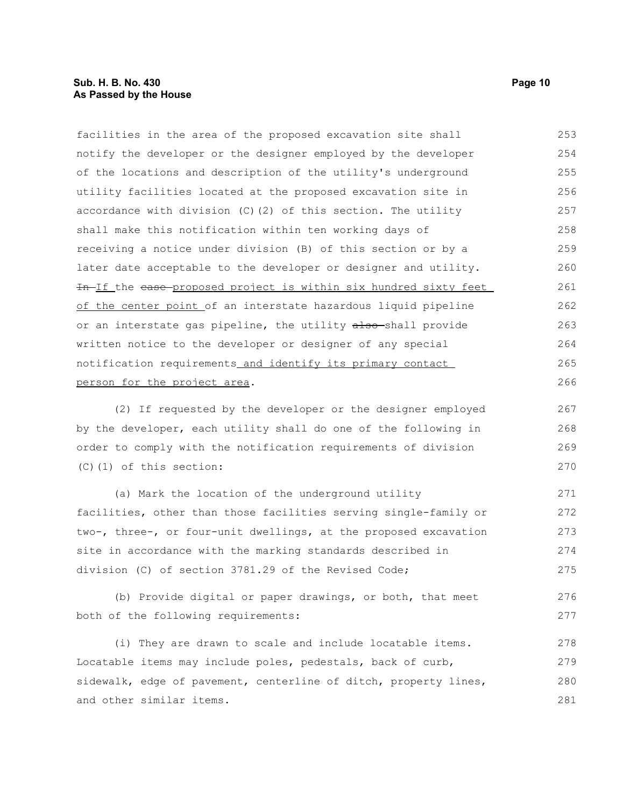| facilities in the area of the proposed excavation site shall      | 253 |
|-------------------------------------------------------------------|-----|
| notify the developer or the designer employed by the developer    | 254 |
| of the locations and description of the utility's underground     | 255 |
| utility facilities located at the proposed excavation site in     | 256 |
| accordance with division $(C)$ $(2)$ of this section. The utility | 257 |
| shall make this notification within ten working days of           | 258 |
| receiving a notice under division (B) of this section or by a     | 259 |
| later date acceptable to the developer or designer and utility.   | 260 |
| In-If the ease-proposed project is within six hundred sixty feet  | 261 |
| of the center point of an interstate hazardous liquid pipeline    | 262 |
| or an interstate gas pipeline, the utility also-shall provide     | 263 |
| written notice to the developer or designer of any special        | 264 |
| notification requirements and identify its primary contact        | 265 |
| person for the project area.                                      | 266 |
|                                                                   |     |

(2) If requested by the developer or the designer employed by the developer, each utility shall do one of the following in order to comply with the notification requirements of division (C)(1) of this section:

(a) Mark the location of the underground utility facilities, other than those facilities serving single-family or two-, three-, or four-unit dwellings, at the proposed excavation site in accordance with the marking standards described in division (C) of section 3781.29 of the Revised Code; 271 272 273 274 275

(b) Provide digital or paper drawings, or both, that meet both of the following requirements: 276 277

(i) They are drawn to scale and include locatable items. Locatable items may include poles, pedestals, back of curb, sidewalk, edge of pavement, centerline of ditch, property lines, and other similar items. 278 279 280 281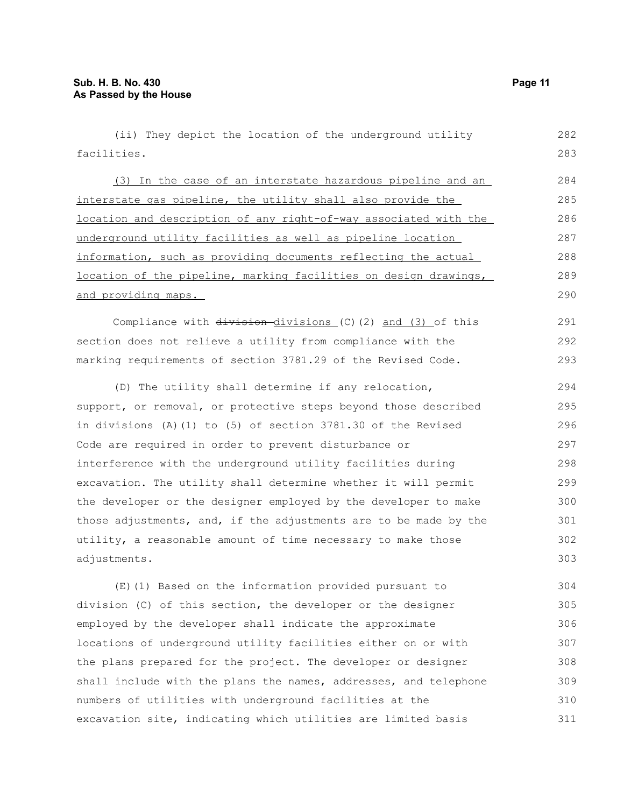(ii) They depict the location of the underground utility facilities. (3) In the case of an interstate hazardous pipeline and an interstate gas pipeline, the utility shall also provide the location and description of any right-of-way associated with the underground utility facilities as well as pipeline location information, such as providing documents reflecting the actual location of the pipeline, marking facilities on design drawings, and providing maps. Compliance with  $\frac{div}{\sin \theta}$  divisions (C)(2) and (3) of this section does not relieve a utility from compliance with the marking requirements of section 3781.29 of the Revised Code. (D) The utility shall determine if any relocation, support, or removal, or protective steps beyond those described in divisions (A)(1) to (5) of section 3781.30 of the Revised Code are required in order to prevent disturbance or interference with the underground utility facilities during excavation. The utility shall determine whether it will permit the developer or the designer employed by the developer to make those adjustments, and, if the adjustments are to be made by the utility, a reasonable amount of time necessary to make those adjustments. (E)(1) Based on the information provided pursuant to division (C) of this section, the developer or the designer employed by the developer shall indicate the approximate locations of underground utility facilities either on or with the plans prepared for the project. The developer or designer shall include with the plans the names, addresses, and telephone 282 283 284 285 286 287 288 289 290 291 292 293 294 295 296 297 298 299 300 301 302 303 304 305 306 307 308 309

numbers of utilities with underground facilities at the excavation site, indicating which utilities are limited basis 310 311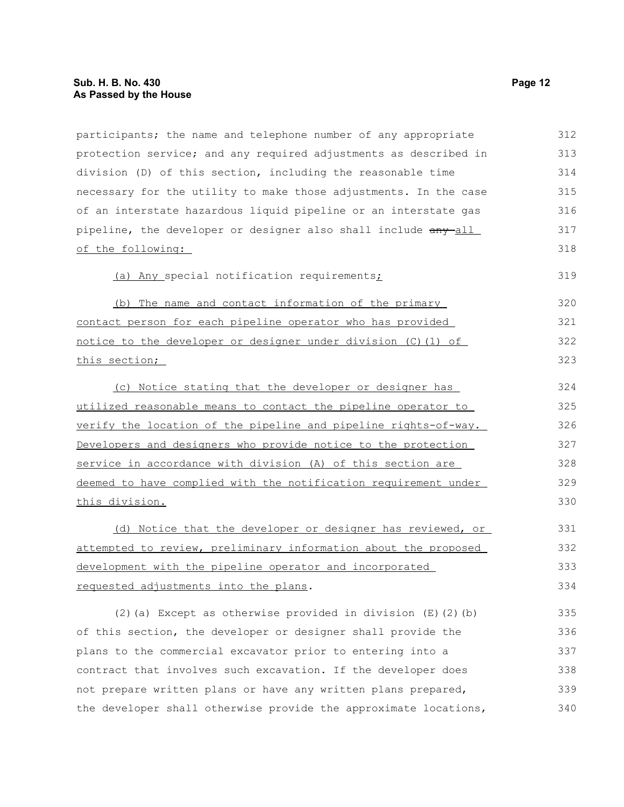| participants; the name and telephone number of any appropriate   | 312 |
|------------------------------------------------------------------|-----|
| protection service; and any required adjustments as described in | 313 |
| division (D) of this section, including the reasonable time      | 314 |
| necessary for the utility to make those adjustments. In the case | 315 |
| of an interstate hazardous liquid pipeline or an interstate gas  | 316 |
| pipeline, the developer or designer also shall include any all   | 317 |
| of the following:                                                | 318 |
| (a) Any special notification requirements;                       | 319 |
| The name and contact information of the primary<br>(b)           | 320 |
| contact person for each pipeline operator who has provided       | 321 |
| notice to the developer or designer under division (C) (1) of    | 322 |
| this section;                                                    | 323 |
| (c) Notice stating that the developer or designer has            | 324 |
| utilized reasonable means to contact the pipeline operator to    | 325 |
| verify the location of the pipeline and pipeline rights-of-way.  | 326 |
| Developers and designers who provide notice to the protection    | 327 |
| service in accordance with division (A) of this section are      | 328 |
| deemed to have complied with the notification requirement under  | 329 |
| this division.                                                   | 330 |
| (d) Notice that the developer or designer has reviewed, or       | 331 |
| attempted to review, preliminary information about the proposed  | 332 |
| development with the pipeline operator and incorporated          | 333 |
| requested adjustments into the plans.                            | 334 |
| (2) (a) Except as otherwise provided in division $(E)$ (2) (b)   | 335 |
| of this section, the developer or designer shall provide the     | 336 |
| plans to the commercial excavator prior to entering into a       | 337 |
| contract that involves such excavation. If the developer does    | 338 |
|                                                                  |     |

not prepare written plans or have any written plans prepared, the developer shall otherwise provide the approximate locations, 339 340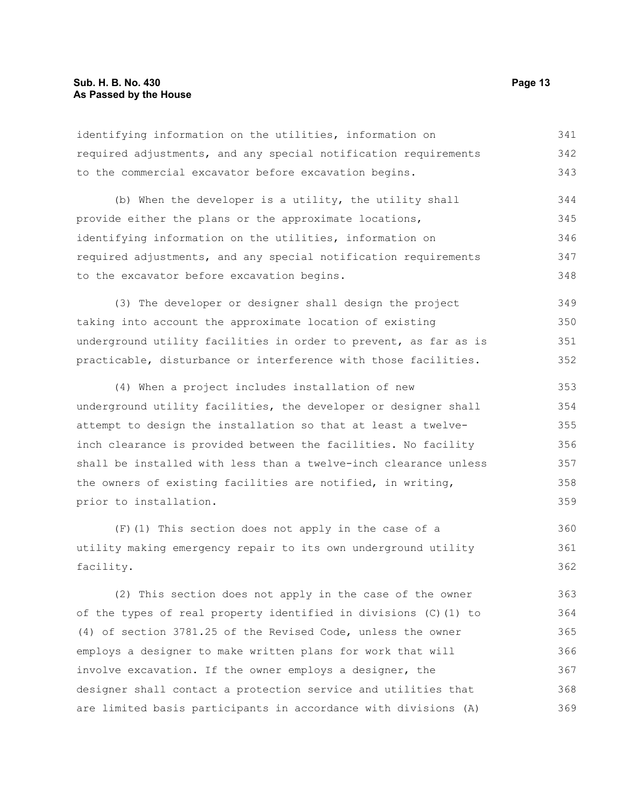identifying information on the utilities, information on required adjustments, and any special notification requirements to the commercial excavator before excavation begins. 341 342 343

(b) When the developer is a utility, the utility shall provide either the plans or the approximate locations, identifying information on the utilities, information on required adjustments, and any special notification requirements to the excavator before excavation begins. 344 345 346 347 348

(3) The developer or designer shall design the project taking into account the approximate location of existing underground utility facilities in order to prevent, as far as is practicable, disturbance or interference with those facilities. 349 350 351 352

(4) When a project includes installation of new underground utility facilities, the developer or designer shall attempt to design the installation so that at least a twelveinch clearance is provided between the facilities. No facility shall be installed with less than a twelve-inch clearance unless the owners of existing facilities are notified, in writing, prior to installation. 353 354 355 356 357 358 359

(F)(1) This section does not apply in the case of a utility making emergency repair to its own underground utility facility. 360 361 362

(2) This section does not apply in the case of the owner of the types of real property identified in divisions (C)(1) to (4) of section 3781.25 of the Revised Code, unless the owner employs a designer to make written plans for work that will involve excavation. If the owner employs a designer, the designer shall contact a protection service and utilities that are limited basis participants in accordance with divisions (A) 363 364 365 366 367 368 369